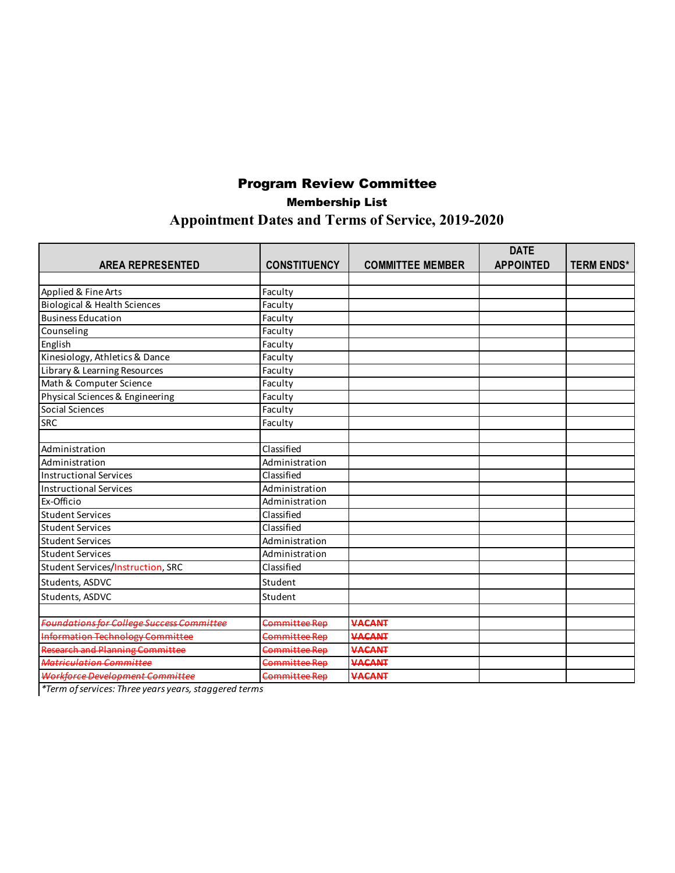# Program Review Committee Membership List **Appointment Dates and Terms of Service, 2019-2020**

|                                                  |                     |                         | <b>DATE</b>      |                   |
|--------------------------------------------------|---------------------|-------------------------|------------------|-------------------|
| <b>AREA REPRESENTED</b>                          | <b>CONSTITUENCY</b> | <b>COMMITTEE MEMBER</b> | <b>APPOINTED</b> | <b>TERM ENDS*</b> |
|                                                  |                     |                         |                  |                   |
| Applied & Fine Arts                              | Faculty             |                         |                  |                   |
| <b>Biological &amp; Health Sciences</b>          | Faculty             |                         |                  |                   |
| <b>Business Education</b>                        | Faculty             |                         |                  |                   |
| Counseling                                       | Faculty             |                         |                  |                   |
| English                                          | Faculty             |                         |                  |                   |
| Kinesiology, Athletics & Dance                   | Faculty             |                         |                  |                   |
| Library & Learning Resources                     | Faculty             |                         |                  |                   |
| Math & Computer Science                          | Faculty             |                         |                  |                   |
| Physical Sciences & Engineering                  | Faculty             |                         |                  |                   |
| Social Sciences                                  | Faculty             |                         |                  |                   |
| SRC                                              | Faculty             |                         |                  |                   |
|                                                  |                     |                         |                  |                   |
| Administration                                   | Classified          |                         |                  |                   |
| Administration                                   | Administration      |                         |                  |                   |
| <b>Instructional Services</b>                    | Classified          |                         |                  |                   |
| <b>Instructional Services</b>                    | Administration      |                         |                  |                   |
| Ex-Officio                                       | Administration      |                         |                  |                   |
| <b>Student Services</b>                          | Classified          |                         |                  |                   |
| <b>Student Services</b>                          | Classified          |                         |                  |                   |
| <b>Student Services</b>                          | Administration      |                         |                  |                   |
| <b>Student Services</b>                          | Administration      |                         |                  |                   |
| Student Services/Instruction, SRC                | Classified          |                         |                  |                   |
| Students, ASDVC                                  | Student             |                         |                  |                   |
| Students, ASDVC                                  | Student             |                         |                  |                   |
|                                                  |                     |                         |                  |                   |
| <b>Foundations for College Success Committee</b> | Committee Rep       | <b>VACANT</b>           |                  |                   |
| <b>Information Technology Committee</b>          | Committee Rep       | <b>VACANT</b>           |                  |                   |
| <b>Research and Planning Committee</b>           | Committee Rep       | <b>VACANT</b>           |                  |                   |
| Matriculation Committee                          | Committee Rep       | VACANT                  |                  |                   |
| Workforce Development Committee                  | Committee Rep       | <b>VACANT</b>           |                  |                   |

*\*Term of services: Three years years, staggered terms*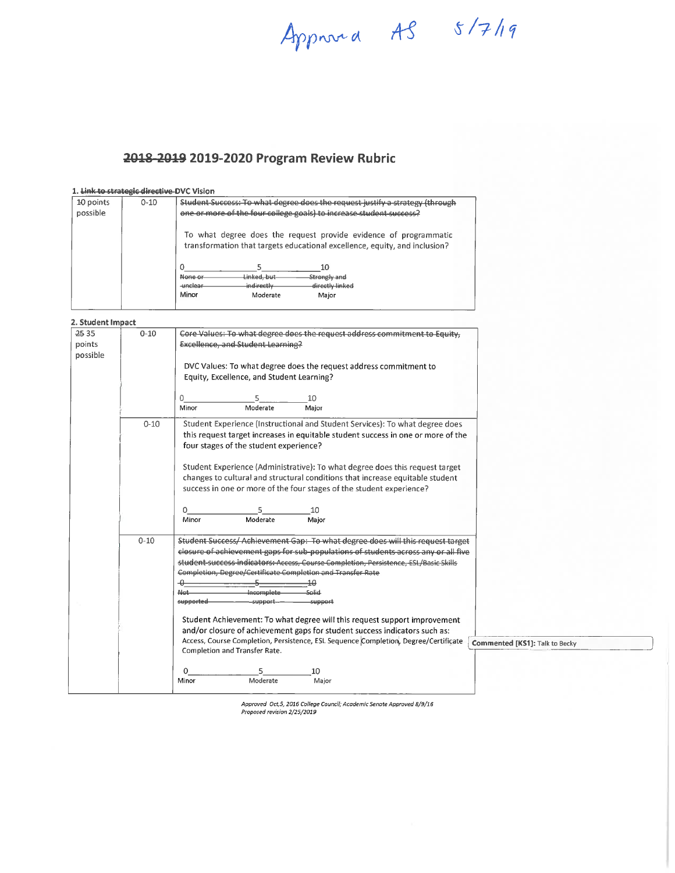Approved AS 5/7/19

## 2018-2019 2019-2020 Program Review Rubric

#### 1. Link to strategic directive-DVC Vision

| 10 points<br>possible | $0 - 10$ | Student Success: To what degree does the request justify a strategy (through<br>one or more of the four college goals) to increase student success?                                                                                                                             |  |
|-----------------------|----------|---------------------------------------------------------------------------------------------------------------------------------------------------------------------------------------------------------------------------------------------------------------------------------|--|
|                       |          | To what degree does the request provide evidence of programmatic<br>transformation that targets educational excellence, equity, and inclusion?<br>10<br>Linked, but<br>Strongly and<br>None or<br>indirectly<br>directly linked<br><b>unclear</b><br>Minor<br>Moderate<br>Major |  |

#### 2. Student Impact

| 2535<br>points<br>possible | $0 - 10$ | Core Values: To what degree does the request address commitment to Equity,<br><b>Excellence, and Student Learning?</b><br>DVC Values: To what degree does the request address commitment to<br>Equity, Excellence, and Student Learning?<br>10<br>0                                                                                                                                                                                                                                                                                                                                                                                                                                                                                                                                    |
|----------------------------|----------|----------------------------------------------------------------------------------------------------------------------------------------------------------------------------------------------------------------------------------------------------------------------------------------------------------------------------------------------------------------------------------------------------------------------------------------------------------------------------------------------------------------------------------------------------------------------------------------------------------------------------------------------------------------------------------------------------------------------------------------------------------------------------------------|
|                            | $0 - 10$ | Moderate<br>Minor<br>Major<br>Student Experience (Instructional and Student Services): To what degree does<br>this request target increases in equitable student success in one or more of the<br>four stages of the student experience?<br>Student Experience (Administrative): To what degree does this request target<br>changes to cultural and structural conditions that increase equitable student<br>success in one or more of the four stages of the student experience?<br>5<br>10<br>0<br>Moderate<br>Minor<br>Major                                                                                                                                                                                                                                                        |
|                            | $0 - 10$ | Student Success/ Achievement Gap: To what degree does will this request target<br>closure of achievement gaps for sub-populations of students across any or all five<br>student-success-indicators:-Access, Course Completion, Persistence, ESL/Basic Skills<br>Completion, Degree/Certificate Completion and Transfer Rate<br>-0-<br>40<br>Not.<br>Incomplete<br>لمنامك<br>supported<br>support-<br>support<br>Student Achievement: To what degree will this request support improvement<br>and/or closure of achievement gaps for student success indicators such as:<br>Access, Course Completion, Persistence, ESL Sequence Completion, Degree/Certificate<br><b>Commented [KS1]: Talk to Becky</b><br>Completion and Transfer Rate.<br>0<br>5<br>10<br>Moderate<br>Minor<br>Major |

Approved Oct,5, 2016 College Council; Academic Senate Approved 8/9/16<br>Proposed revision 2/25/2019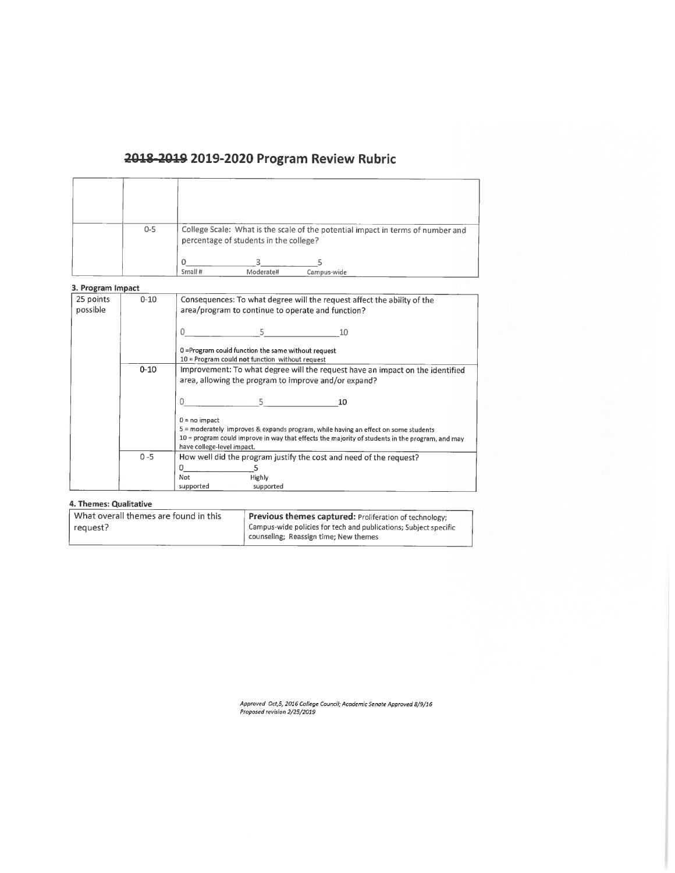# 2018-2019 2019-2020 Program Review Rubric

| $0 - 5$ | College Scale: What is the scale of the potential impact in terms of number and<br>percentage of students in the college? |
|---------|---------------------------------------------------------------------------------------------------------------------------|
|         | Small #<br>Moderate#<br>Camnus-wide                                                                                       |

#### 3. Program Impact

| 25 points<br>possible | $0 - 10$ | Consequences: To what degree will the request affect the ability of the<br>area/program to continue to operate and function?          |  |
|-----------------------|----------|---------------------------------------------------------------------------------------------------------------------------------------|--|
|                       |          | 5.<br>0<br>10                                                                                                                         |  |
|                       |          | 0 = Program could function the same without request<br>$10$ = Program could not function without request                              |  |
|                       | $0 - 10$ | Improvement: To what degree will the request have an impact on the identified<br>area, allowing the program to improve and/or expand? |  |
|                       |          | $\Omega$<br>5.<br>10                                                                                                                  |  |
|                       |          | $0 = no$ impact                                                                                                                       |  |
|                       |          | 5 = moderately improves & expands program, while having an effect on some students                                                    |  |
|                       |          | 10 = program could improve in way that effects the majority of students in the program, and may<br>have college-level impact.         |  |
|                       | $0 - 5$  | How well did the program justify the cost and need of the request?                                                                    |  |
|                       |          | Λ                                                                                                                                     |  |
|                       |          | Not<br><b>Highly</b>                                                                                                                  |  |
|                       |          | supported<br>supported                                                                                                                |  |

#### 4. Themes: Qualitative

| What overall themes are found in this | Previous themes captured: Proliferation of technology:                                                    |
|---------------------------------------|-----------------------------------------------------------------------------------------------------------|
| 1 request?                            | Campus-wide policies for tech and publications; Subject specific<br>counseling; Reassign time; New themes |
|                                       |                                                                                                           |

Approved Oct,5, 2016 College Council; Academic Senate Approved 8/9/16<br>Proposed revision 2/25/2019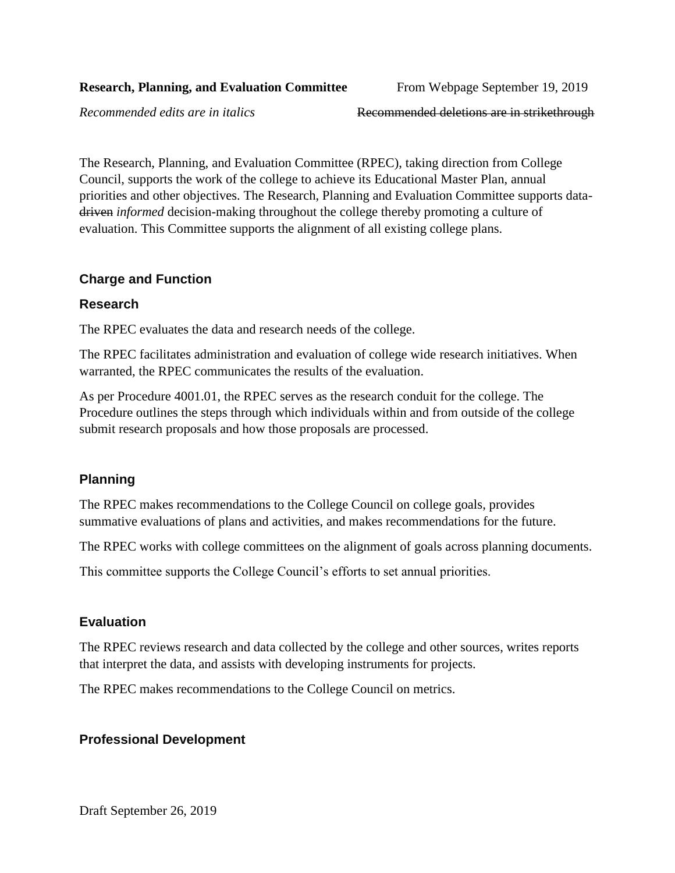*Recommended edits are in italics* Recommended deletions are in strikethrough

The Research, Planning, and Evaluation Committee (RPEC), taking direction from College Council, supports the work of the college to achieve its Educational Master Plan, annual priorities and other objectives. The Research, Planning and Evaluation Committee supports datadriven *informed* decision-making throughout the college thereby promoting a culture of evaluation. This Committee supports the alignment of all existing college plans.

### **Charge and Function**

#### **Research**

The RPEC evaluates the data and research needs of the college.

The RPEC facilitates administration and evaluation of college wide research initiatives. When warranted, the RPEC communicates the results of the evaluation.

As per Procedure 4001.01, the RPEC serves as the research conduit for the college. The Procedure outlines the steps through which individuals within and from outside of the college submit research proposals and how those proposals are processed.

### **Planning**

The RPEC makes recommendations to the College Council on college goals, provides summative evaluations of plans and activities, and makes recommendations for the future.

The RPEC works with college committees on the alignment of goals across planning documents.

This committee supports the College Council's efforts to set annual priorities.

### **Evaluation**

The RPEC reviews research and data collected by the college and other sources, writes reports that interpret the data, and assists with developing instruments for projects.

The RPEC makes recommendations to the College Council on metrics.

# **Professional Development**

Draft September 26, 2019